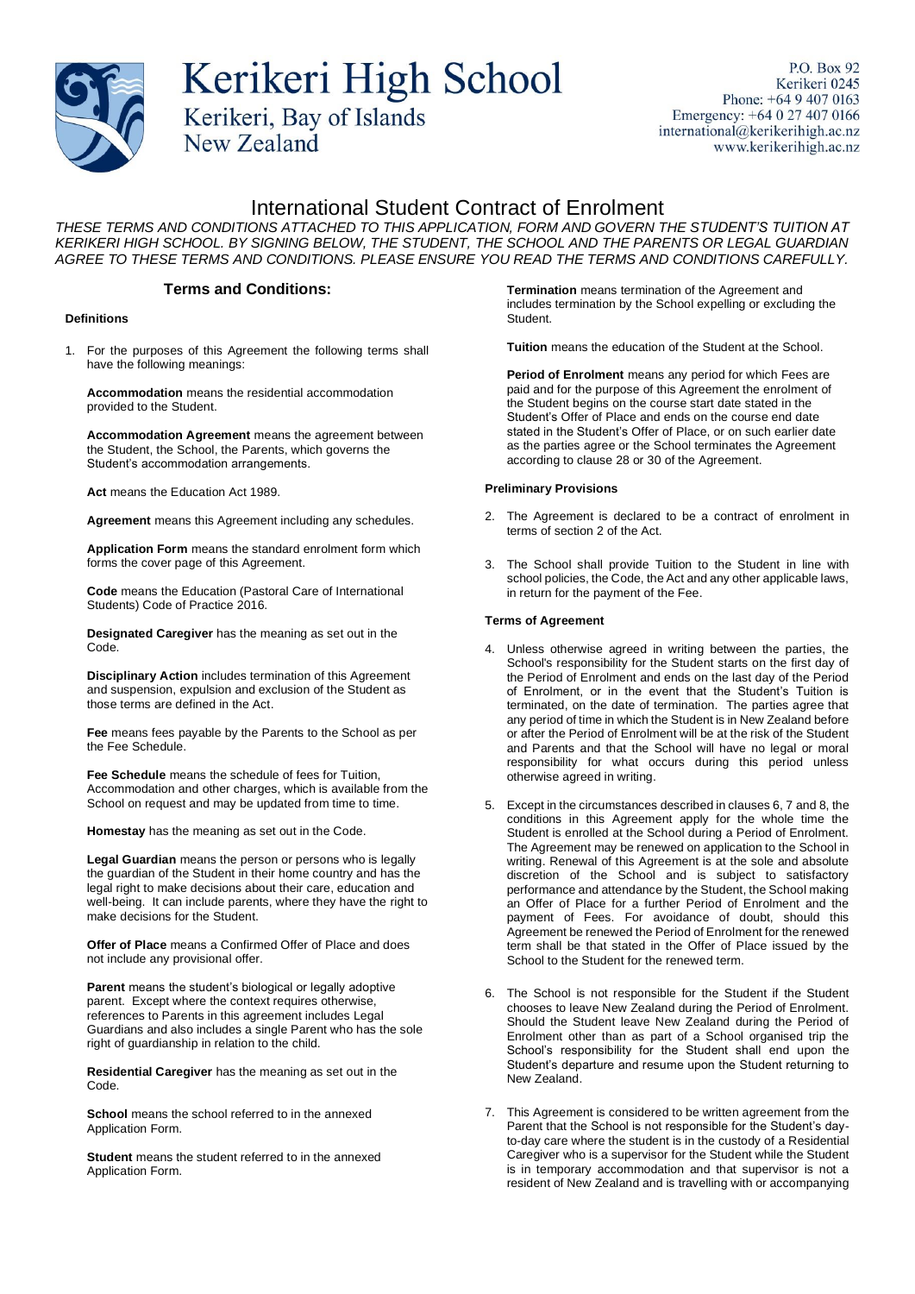

# Kerikeri High School Kerikeri, Bay of Islands

P.O. Box 92 Kerikeri 0245 Phone:  $+6494070163$ Emergency: +64 0 27 407 0166 international@kerikerihigh.ac.nz www.kerikerihigh.ac.nz

# International Student Contract of Enrolment

*THESE TERMS AND CONDITIONS ATTACHED TO THIS APPLICATION, FORM AND GOVERN THE STUDENT'S TUITION AT KERIKERI HIGH SCHOOL. BY SIGNING BELOW, THE STUDENT, THE SCHOOL AND THE PARENTS OR LEGAL GUARDIAN AGREE TO THESE TERMS AND CONDITIONS. PLEASE ENSURE YOU READ THE TERMS AND CONDITIONS CAREFULLY.*

### **Terms and Conditions:**

**New Zealand** 

#### **Definitions**

1. For the purposes of this Agreement the following terms shall have the following meanings:

**Accommodation** means the residential accommodation provided to the Student.

**Accommodation Agreement** means the agreement between the Student, the School, the Parents, which governs the Student's accommodation arrangements.

**Act** means the Education Act 1989.

**Agreement** means this Agreement including any schedules.

**Application Form** means the standard enrolment form which forms the cover page of this Agreement.

**Code** means the Education (Pastoral Care of International Students) Code of Practice 2016.

**Designated Caregiver** has the meaning as set out in the Code.

**Disciplinary Action** includes termination of this Agreement and suspension, expulsion and exclusion of the Student as those terms are defined in the Act.

**Fee** means fees payable by the Parents to the School as per the Fee Schedule.

**Fee Schedule** means the schedule of fees for Tuition, Accommodation and other charges, which is available from the School on request and may be updated from time to time.

**Homestay** has the meaning as set out in the Code.

**Legal Guardian** means the person or persons who is legally the guardian of the Student in their home country and has the legal right to make decisions about their care, education and well-being. It can include parents, where they have the right to make decisions for the Student.

**Offer of Place** means a Confirmed Offer of Place and does not include any provisional offer.

**Parent** means the student's biological or legally adoptive parent. Except where the context requires otherwise, references to Parents in this agreement includes Legal Guardians and also includes a single Parent who has the sole right of guardianship in relation to the child.

**Residential Caregiver** has the meaning as set out in the Code.

**School** means the school referred to in the annexed Application Form.

**Student** means the student referred to in the annexed Application Form.

**Termination** means termination of the Agreement and includes termination by the School expelling or excluding the Student.

**Tuition** means the education of the Student at the School.

**Period of Enrolment** means any period for which Fees are paid and for the purpose of this Agreement the enrolment of the Student begins on the course start date stated in the Student's Offer of Place and ends on the course end date stated in the Student's Offer of Place, or on such earlier date as the parties agree or the School terminates the Agreement according to clause 28 or 30 of the Agreement.

#### **Preliminary Provisions**

- 2. The Agreement is declared to be a contract of enrolment in terms of section 2 of the Act.
- 3. The School shall provide Tuition to the Student in line with school policies, the Code, the Act and any other applicable laws, in return for the payment of the Fee.

#### **Terms of Agreement**

- 4. Unless otherwise agreed in writing between the parties, the School's responsibility for the Student starts on the first day of the Period of Enrolment and ends on the last day of the Period of Enrolment, or in the event that the Student's Tuition is terminated, on the date of termination. The parties agree that any period of time in which the Student is in New Zealand before or after the Period of Enrolment will be at the risk of the Student and Parents and that the School will have no legal or moral responsibility for what occurs during this period unless otherwise agreed in writing.
- 5. Except in the circumstances described in clauses 6, 7 and 8, the conditions in this Agreement apply for the whole time the Student is enrolled at the School during a Period of Enrolment. The Agreement may be renewed on application to the School in writing. Renewal of this Agreement is at the sole and absolute discretion of the School and is subject to satisfactory performance and attendance by the Student, the School making an Offer of Place for a further Period of Enrolment and the payment of Fees. For avoidance of doubt, should this Agreement be renewed the Period of Enrolment for the renewed term shall be that stated in the Offer of Place issued by the School to the Student for the renewed term.
- 6. The School is not responsible for the Student if the Student chooses to leave New Zealand during the Period of Enrolment. Should the Student leave New Zealand during the Period of Enrolment other than as part of a School organised trip the School's responsibility for the Student shall end upon the Student's departure and resume upon the Student returning to New Zealand.
- 7. This Agreement is considered to be written agreement from the Parent that the School is not responsible for the Student's dayto-day care where the student is in the custody of a Residential Caregiver who is a supervisor for the Student while the Student is in temporary accommodation and that supervisor is not a resident of New Zealand and is travelling with or accompanying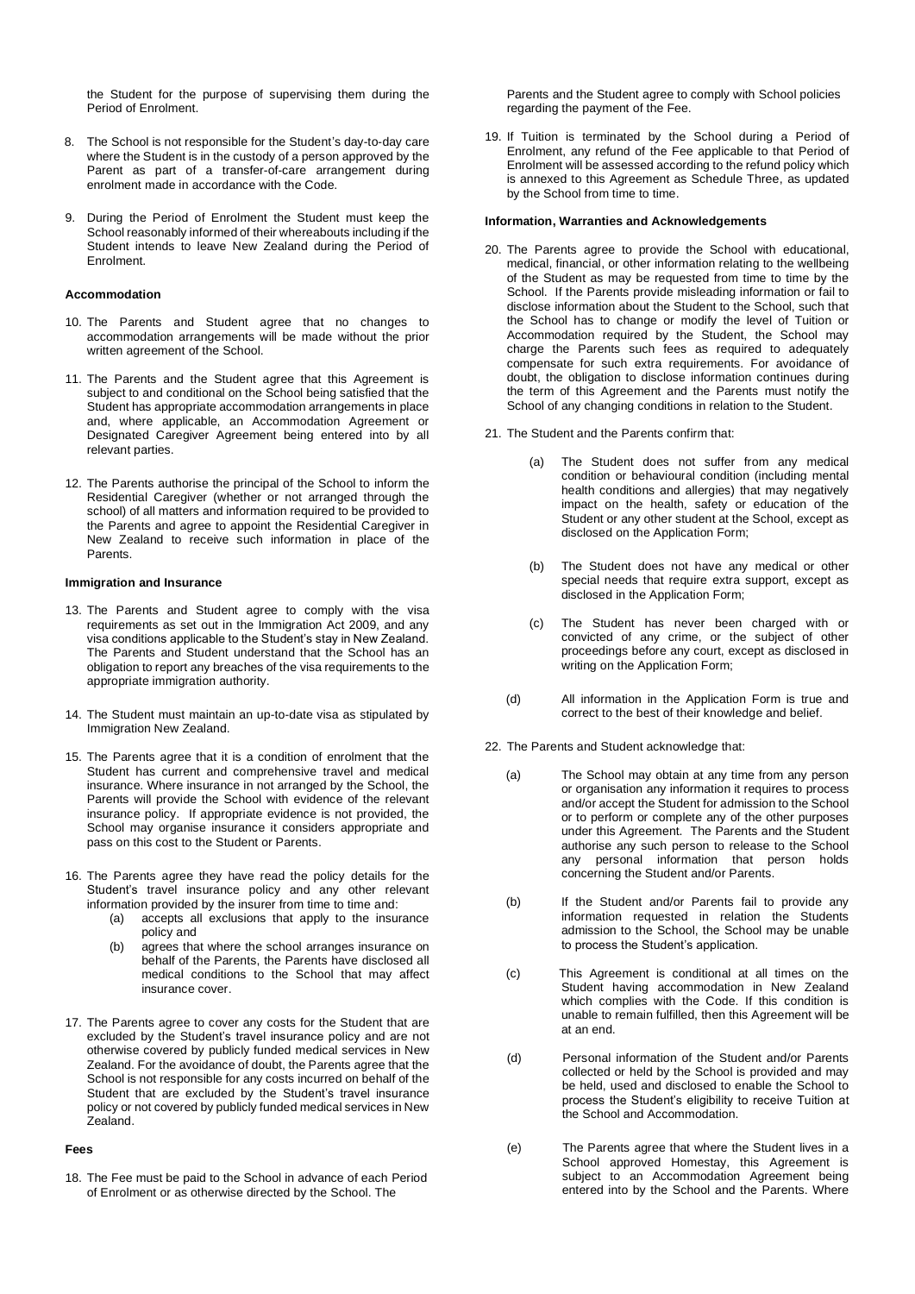the Student for the purpose of supervising them during the Period of Enrolment.

- 8. The School is not responsible for the Student's day-to-day care where the Student is in the custody of a person approved by the Parent as part of a transfer-of-care arrangement during enrolment made in accordance with the Code.
- 9. During the Period of Enrolment the Student must keep the School reasonably informed of their whereabouts including if the Student intends to leave New Zealand during the Period of Enrolment.

#### **Accommodation**

- 10. The Parents and Student agree that no changes to accommodation arrangements will be made without the prior written agreement of the School.
- 11. The Parents and the Student agree that this Agreement is subject to and conditional on the School being satisfied that the Student has appropriate accommodation arrangements in place and, where applicable, an Accommodation Agreement or Designated Caregiver Agreement being entered into by all relevant parties.
- 12. The Parents authorise the principal of the School to inform the Residential Caregiver (whether or not arranged through the school) of all matters and information required to be provided to the Parents and agree to appoint the Residential Caregiver in New Zealand to receive such information in place of the **Parents**

#### **Immigration and Insurance**

- 13. The Parents and Student agree to comply with the visa requirements as set out in the Immigration Act 2009, and any visa conditions applicable to the Student's stay in New Zealand. The Parents and Student understand that the School has an obligation to report any breaches of the visa requirements to the appropriate immigration authority.
- 14. The Student must maintain an up-to-date visa as stipulated by Immigration New Zealand.
- 15. The Parents agree that it is a condition of enrolment that the Student has current and comprehensive travel and medical insurance. Where insurance in not arranged by the School, the Parents will provide the School with evidence of the relevant insurance policy. If appropriate evidence is not provided, the School may organise insurance it considers appropriate and pass on this cost to the Student or Parents.
- 16. The Parents agree they have read the policy details for the Student's travel insurance policy and any other relevant information provided by the insurer from time to time and:
	- (a) accepts all exclusions that apply to the insurance policy and
	- (b) agrees that where the school arranges insurance on behalf of the Parents, the Parents have disclosed all medical conditions to the School that may affect insurance cover.
- 17. The Parents agree to cover any costs for the Student that are excluded by the Student's travel insurance policy and are not otherwise covered by publicly funded medical services in New Zealand. For the avoidance of doubt, the Parents agree that the School is not responsible for any costs incurred on behalf of the Student that are excluded by the Student's travel insurance policy or not covered by publicly funded medical services in New .<br>Zealand.

#### **Fees**

18. The Fee must be paid to the School in advance of each Period of Enrolment or as otherwise directed by the School. The

Parents and the Student agree to comply with School policies regarding the payment of the Fee.

19. If Tuition is terminated by the School during a Period of Enrolment, any refund of the Fee applicable to that Period of Enrolment will be assessed according to the refund policy which is annexed to this Agreement as Schedule Three, as updated by the School from time to time.

#### **Information, Warranties and Acknowledgements**

- 20. The Parents agree to provide the School with educational, medical, financial, or other information relating to the wellbeing of the Student as may be requested from time to time by the School. If the Parents provide misleading information or fail to disclose information about the Student to the School, such that the School has to change or modify the level of Tuition or Accommodation required by the Student, the School may charge the Parents such fees as required to adequately compensate for such extra requirements. For avoidance of doubt, the obligation to disclose information continues during the term of this Agreement and the Parents must notify the School of any changing conditions in relation to the Student.
- 21. The Student and the Parents confirm that:
	- (a) The Student does not suffer from any medical condition or behavioural condition (including mental health conditions and allergies) that may negatively impact on the health, safety or education of the Student or any other student at the School, except as disclosed on the Application Form;
	- (b) The Student does not have any medical or other special needs that require extra support, except as disclosed in the Application Form;
	- (c) The Student has never been charged with or convicted of any crime, or the subject of other proceedings before any court, except as disclosed in writing on the Application Form;
	- (d) All information in the Application Form is true and correct to the best of their knowledge and belief.
- 22. The Parents and Student acknowledge that:
	- (a) The School may obtain at any time from any person or organisation any information it requires to process and/or accept the Student for admission to the School or to perform or complete any of the other purposes under this Agreement. The Parents and the Student authorise any such person to release to the School any personal information that person holds concerning the Student and/or Parents.
	- (b) If the Student and/or Parents fail to provide any information requested in relation the Students admission to the School, the School may be unable to process the Student's application.
	- (c) This Agreement is conditional at all times on the Student having accommodation in New Zealand which complies with the Code. If this condition is unable to remain fulfilled, then this Agreement will be at an end.
	- (d) Personal information of the Student and/or Parents collected or held by the School is provided and may be held, used and disclosed to enable the School to process the Student's eligibility to receive Tuition at the School and Accommodation.
	- (e) The Parents agree that where the Student lives in a School approved Homestay, this Agreement is subject to an Accommodation Agreement being entered into by the School and the Parents. Where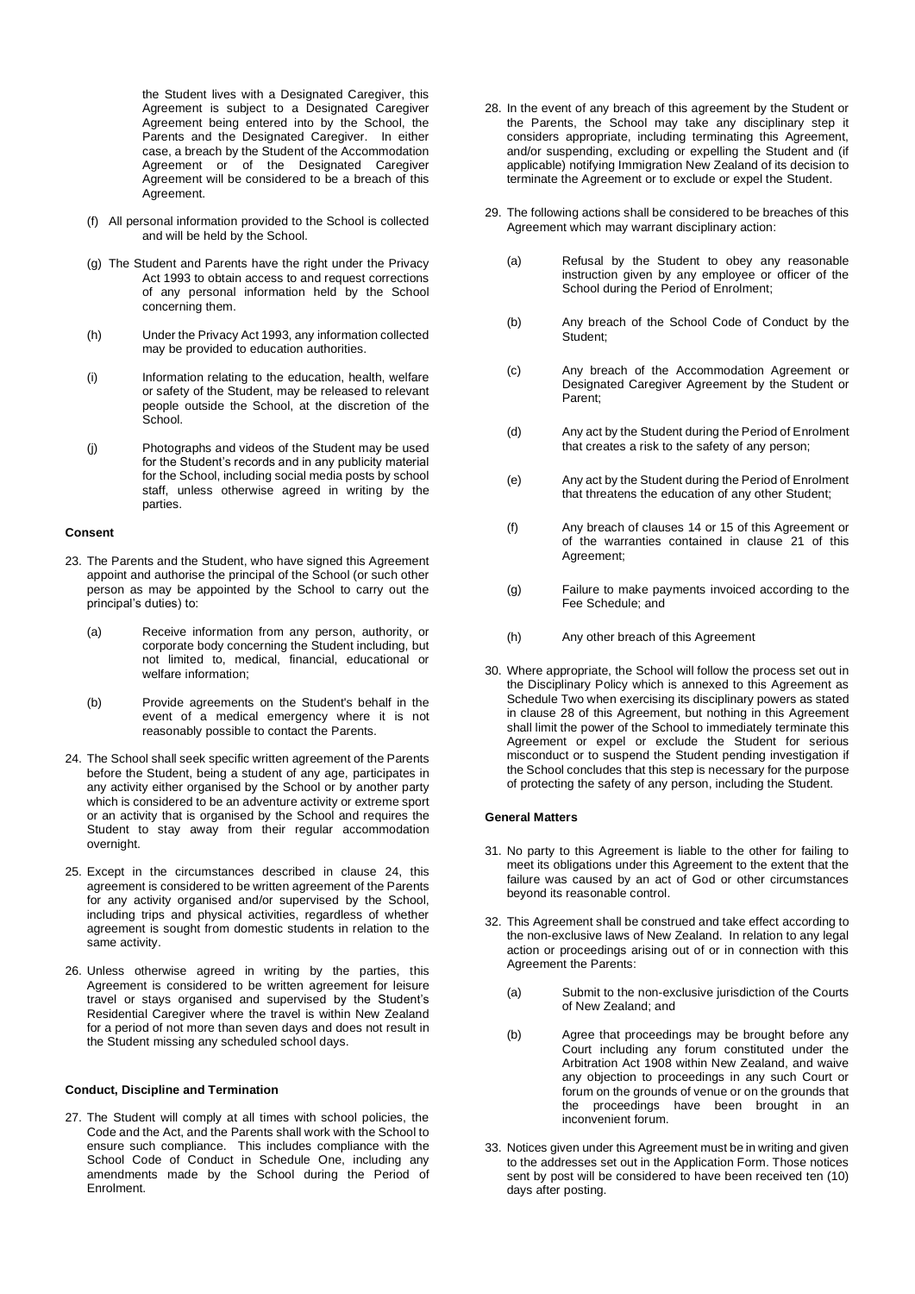the Student lives with a Designated Caregiver, this Agreement is subject to a Designated Caregiver Agreement being entered into by the School, the Parents and the Designated Caregiver. In either case, a breach by the Student of the Accommodation Agreement or of the Designated Caregiver Agreement will be considered to be a breach of this Agreement.

- (f) All personal information provided to the School is collected and will be held by the School.
- (g) The Student and Parents have the right under the Privacy Act 1993 to obtain access to and request corrections of any personal information held by the School concerning them.
- (h) Under the Privacy Act 1993, any information collected may be provided to education authorities.
- (i) Information relating to the education, health, welfare or safety of the Student, may be released to relevant people outside the School, at the discretion of the School.
- (j) Photographs and videos of the Student may be used for the Student's records and in any publicity material for the School, including social media posts by school staff, unless otherwise agreed in writing by the parties.

#### **Consent**

- 23. The Parents and the Student, who have signed this Agreement appoint and authorise the principal of the School (or such other person as may be appointed by the School to carry out the principal's duties) to:
	- (a) Receive information from any person, authority, or corporate body concerning the Student including, but not limited to, medical, financial, educational or welfare information;
	- (b) Provide agreements on the Student's behalf in the event of a medical emergency where it is not reasonably possible to contact the Parents.
- 24. The School shall seek specific written agreement of the Parents before the Student, being a student of any age, participates in any activity either organised by the School or by another party which is considered to be an adventure activity or extreme sport or an activity that is organised by the School and requires the Student to stay away from their regular accommodation overnight.
- 25. Except in the circumstances described in clause 24, this agreement is considered to be written agreement of the Parents for any activity organised and/or supervised by the School, including trips and physical activities, regardless of whether agreement is sought from domestic students in relation to the same activity.
- 26. Unless otherwise agreed in writing by the parties, this Agreement is considered to be written agreement for leisure travel or stays organised and supervised by the Student's Residential Caregiver where the travel is within New Zealand for a period of not more than seven days and does not result in the Student missing any scheduled school days.

#### **Conduct, Discipline and Termination**

27. The Student will comply at all times with school policies, the Code and the Act, and the Parents shall work with the School to ensure such compliance. This includes compliance with the School Code of Conduct in Schedule One, including any amendments made by the School during the Period of Enrolment.

- 28. In the event of any breach of this agreement by the Student or the Parents, the School may take any disciplinary step it considers appropriate, including terminating this Agreement, and/or suspending, excluding or expelling the Student and (if applicable) notifying Immigration New Zealand of its decision to terminate the Agreement or to exclude or expel the Student.
- 29. The following actions shall be considered to be breaches of this Agreement which may warrant disciplinary action:
	- (a) Refusal by the Student to obey any reasonable instruction given by any employee or officer of the School during the Period of Enrolment;
	- (b) Any breach of the School Code of Conduct by the Student;
	- (c) Any breach of the Accommodation Agreement or Designated Caregiver Agreement by the Student or Parent;
	- (d) Any act by the Student during the Period of Enrolment that creates a risk to the safety of any person;
	- (e) Any act by the Student during the Period of Enrolment that threatens the education of any other Student;
	- (f) Any breach of clauses 14 or 15 of this Agreement or of the warranties contained in clause 21 of this Agreement;
	- (g) Failure to make payments invoiced according to the Fee Schedule; and
	- (h) Any other breach of this Agreement
- 30. Where appropriate, the School will follow the process set out in the Disciplinary Policy which is annexed to this Agreement as Schedule Two when exercising its disciplinary powers as stated in clause 28 of this Agreement, but nothing in this Agreement shall limit the power of the School to immediately terminate this Agreement or expel or exclude the Student for serious misconduct or to suspend the Student pending investigation if the School concludes that this step is necessary for the purpose of protecting the safety of any person, including the Student.

#### **General Matters**

- 31. No party to this Agreement is liable to the other for failing to meet its obligations under this Agreement to the extent that the failure was caused by an act of God or other circumstances beyond its reasonable control.
- 32. This Agreement shall be construed and take effect according to the non-exclusive laws of New Zealand. In relation to any legal action or proceedings arising out of or in connection with this Agreement the Parents:
	- (a) Submit to the non-exclusive jurisdiction of the Courts of New Zealand; and
	- (b) Agree that proceedings may be brought before any Court including any forum constituted under the Arbitration Act 1908 within New Zealand, and waive any objection to proceedings in any such Court or forum on the grounds of venue or on the grounds that the proceedings have been brought in an inconvenient forum.
- 33. Notices given under this Agreement must be in writing and given to the addresses set out in the Application Form. Those notices sent by post will be considered to have been received ten (10) days after posting.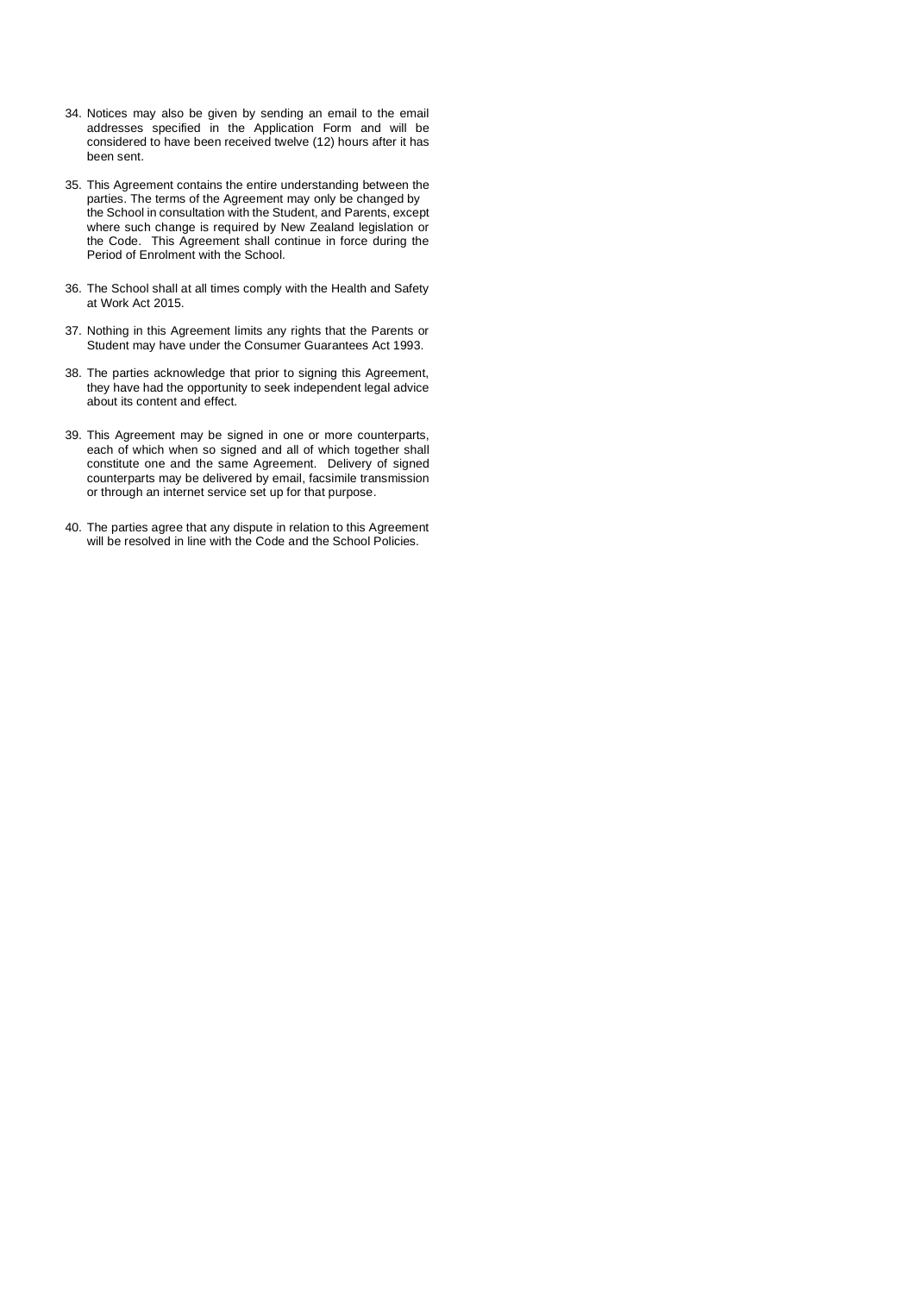- 34. Notices may also be given by sending an email to the email addresses specified in the Application Form and will be considered to have been received twelve (12) hours after it has been sent.
- 35. This Agreement contains the entire understanding between the parties. The terms of the Agreement may only be changed by the School in consultation with the Student, and Parents, except where such change is required by New Zealand legislation or the Code. This Agreement shall continue in force during the Period of Enrolment with the School.
- 36. The School shall at all times comply with the Health and Safety at Work Act 2015.
- 37. Nothing in this Agreement limits any rights that the Parents or Student may have under the Consumer Guarantees Act 1993.
- 38. The parties acknowledge that prior to signing this Agreement, they have had the opportunity to seek independent legal advice about its content and effect.
- 39. This Agreement may be signed in one or more counterparts, each of which when so signed and all of which together shall constitute one and the same Agreement. Delivery of signed counterparts may be delivered by email, facsimile transmission or through an internet service set up for that purpose.
- 40. The parties agree that any dispute in relation to this Agreement will be resolved in line with the Code and the School Policies.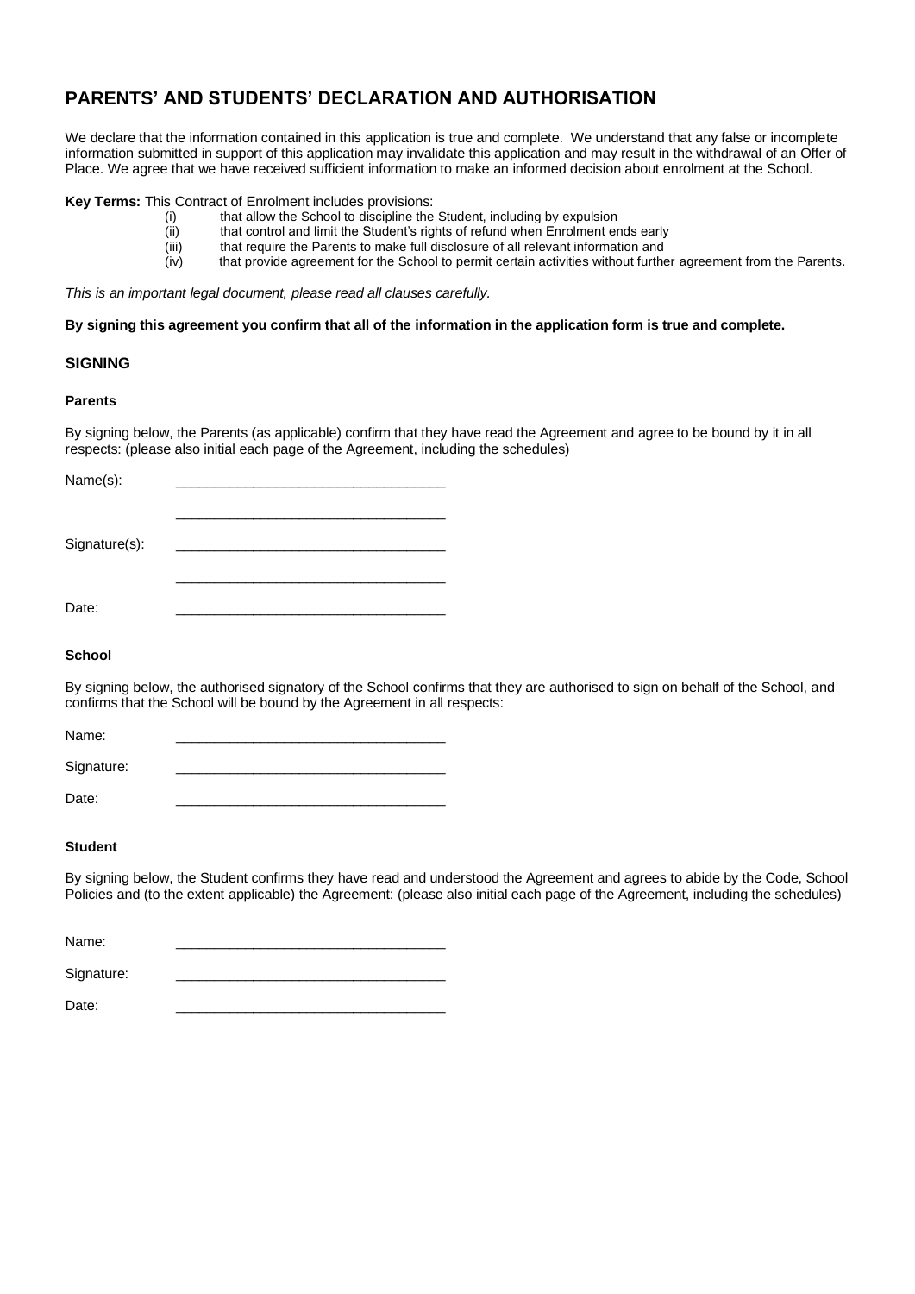# **PARENTS' AND STUDENTS' DECLARATION AND AUTHORISATION**

We declare that the information contained in this application is true and complete. We understand that any false or incomplete information submitted in support of this application may invalidate this application and may result in the withdrawal of an Offer of Place. We agree that we have received sufficient information to make an informed decision about enrolment at the School.

**Key Terms:** This Contract of Enrolment includes provisions:

- (i) that allow the School to discipline the Student, including by expulsion
- (ii) that control and limit the Student's rights of refund when Enrolment ends early<br>(iii) that require the Parents to make full disclosure of all relevant information and
- that require the Parents to make full disclosure of all relevant information and
- (iv) that provide agreement for the School to permit certain activities without further agreement from the Parents.

*This is an important legal document, please read all clauses carefully.*

**By signing this agreement you confirm that all of the information in the application form is true and complete.**

# **SIGNING**

#### **Parents**

By signing below, the Parents (as applicable) confirm that they have read the Agreement and agree to be bound by it in all respects: (please also initial each page of the Agreement, including the schedules)

| Name(s):      |  |
|---------------|--|
| Signature(s): |  |
| Date:         |  |

### **School**

By signing below, the authorised signatory of the School confirms that they are authorised to sign on behalf of the School, and confirms that the School will be bound by the Agreement in all respects:

Name: \_\_\_\_\_\_\_\_\_\_\_\_\_\_\_\_\_\_\_\_\_\_\_\_\_\_\_\_\_\_\_\_\_\_\_

Signature:

Date: \_\_\_\_\_\_\_\_\_\_\_\_\_\_\_\_\_\_\_\_\_\_\_\_\_\_\_\_\_\_\_\_\_\_\_

# **Student**

By signing below, the Student confirms they have read and understood the Agreement and agrees to abide by the Code, School Policies and (to the extent applicable) the Agreement: (please also initial each page of the Agreement, including the schedules)

| Name:      |  |  |
|------------|--|--|
| Signature: |  |  |

Date: \_\_\_\_\_\_\_\_\_\_\_\_\_\_\_\_\_\_\_\_\_\_\_\_\_\_\_\_\_\_\_\_\_\_\_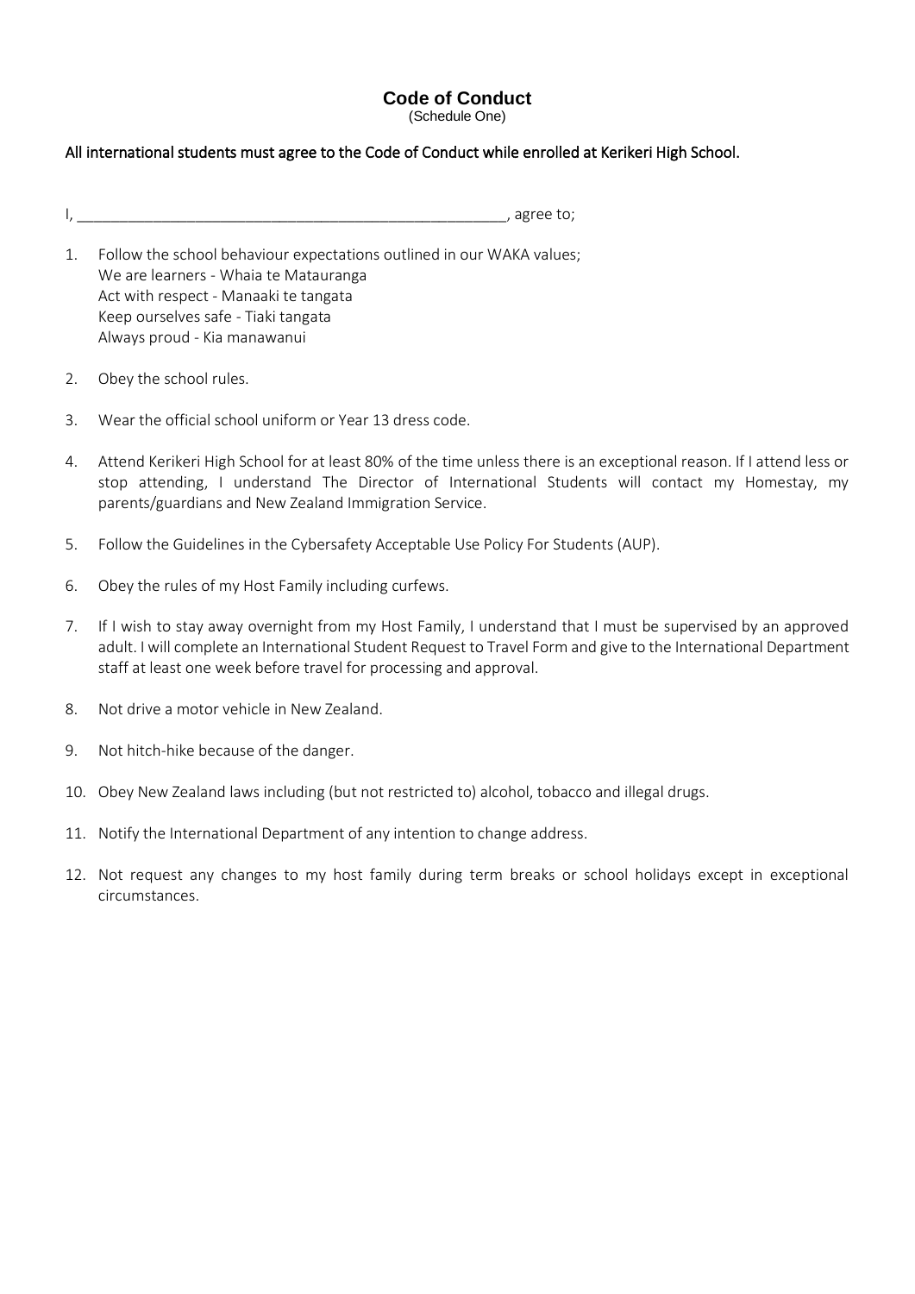# **Code of Conduct**

(Schedule One)

# All international students must agree to the Code of Conduct while enrolled at Kerikeri High School.

 $\Box$ 

- 1. Follow the school behaviour expectations outlined in our WAKA values; We are learners - Whaia te Matauranga Act with respect - Manaaki te tangata Keep ourselves safe - Tiaki tangata Always proud - Kia manawanui
- 2. Obey the school rules.
- 3. Wear the official school uniform or Year 13 dress code.
- 4. Attend Kerikeri High School for at least 80% of the time unless there is an exceptional reason. If I attend less or stop attending, I understand The Director of International Students will contact my Homestay, my parents/guardians and New Zealand Immigration Service.
- 5. Follow the Guidelines in the Cybersafety Acceptable Use Policy For Students (AUP).
- 6. Obey the rules of my Host Family including curfews.
- 7. If I wish to stay away overnight from my Host Family, I understand that I must be supervised by an approved adult. I will complete an International Student Request to Travel Form and give to the International Department staff at least one week before travel for processing and approval.
- 8. Not drive a motor vehicle in New Zealand.
- 9. Not hitch-hike because of the danger.
- 10. Obey New Zealand laws including (but not restricted to) alcohol, tobacco and illegal drugs.
- 11. Notify the International Department of any intention to change address.
- 12. Not request any changes to my host family during term breaks or school holidays except in exceptional circumstances.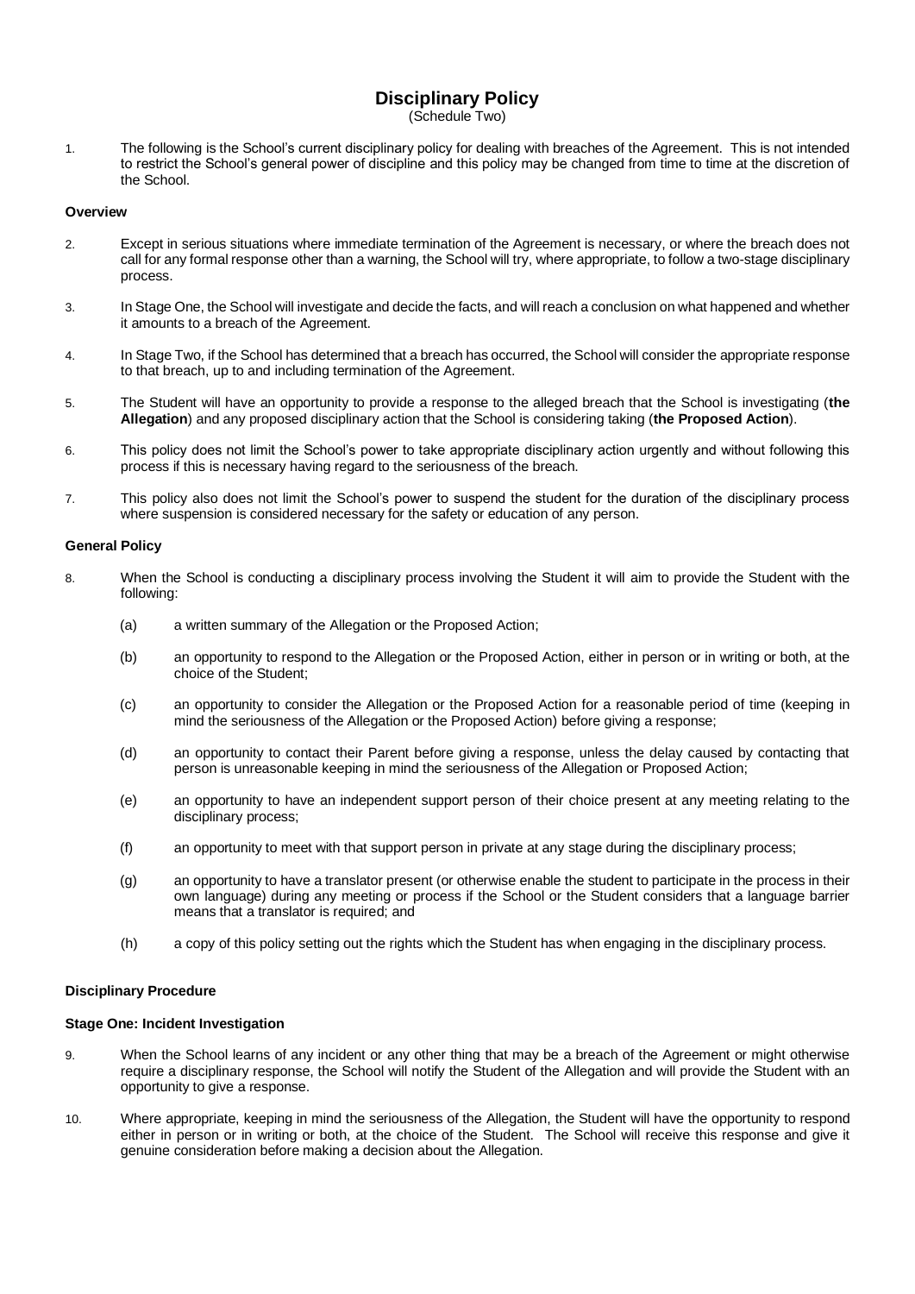# **Disciplinary Policy**

(Schedule Two)

1. The following is the School's current disciplinary policy for dealing with breaches of the Agreement. This is not intended to restrict the School's general power of discipline and this policy may be changed from time to time at the discretion of the School.

#### **Overview**

- 2. Except in serious situations where immediate termination of the Agreement is necessary, or where the breach does not call for any formal response other than a warning, the School will try, where appropriate, to follow a two-stage disciplinary process.
- 3. In Stage One, the School will investigate and decide the facts, and will reach a conclusion on what happened and whether it amounts to a breach of the Agreement.
- 4. In Stage Two, if the School has determined that a breach has occurred, the School will consider the appropriate response to that breach, up to and including termination of the Agreement.
- 5. The Student will have an opportunity to provide a response to the alleged breach that the School is investigating (**the Allegation**) and any proposed disciplinary action that the School is considering taking (**the Proposed Action**).
- 6. This policy does not limit the School's power to take appropriate disciplinary action urgently and without following this process if this is necessary having regard to the seriousness of the breach.
- 7. This policy also does not limit the School's power to suspend the student for the duration of the disciplinary process where suspension is considered necessary for the safety or education of any person.

#### **General Policy**

- 8. When the School is conducting a disciplinary process involving the Student it will aim to provide the Student with the following:
	- (a) a written summary of the Allegation or the Proposed Action;
	- (b) an opportunity to respond to the Allegation or the Proposed Action, either in person or in writing or both, at the choice of the Student;
	- (c) an opportunity to consider the Allegation or the Proposed Action for a reasonable period of time (keeping in mind the seriousness of the Allegation or the Proposed Action) before giving a response;
	- (d) an opportunity to contact their Parent before giving a response, unless the delay caused by contacting that person is unreasonable keeping in mind the seriousness of the Allegation or Proposed Action;
	- (e) an opportunity to have an independent support person of their choice present at any meeting relating to the disciplinary process;
	- (f) an opportunity to meet with that support person in private at any stage during the disciplinary process;
	- (g) an opportunity to have a translator present (or otherwise enable the student to participate in the process in their own language) during any meeting or process if the School or the Student considers that a language barrier means that a translator is required; and
	- (h) a copy of this policy setting out the rights which the Student has when engaging in the disciplinary process.

#### **Disciplinary Procedure**

#### **Stage One: Incident Investigation**

- 9. When the School learns of any incident or any other thing that may be a breach of the Agreement or might otherwise require a disciplinary response, the School will notify the Student of the Allegation and will provide the Student with an opportunity to give a response.
- 10. Where appropriate, keeping in mind the seriousness of the Allegation, the Student will have the opportunity to respond either in person or in writing or both, at the choice of the Student. The School will receive this response and give it genuine consideration before making a decision about the Allegation.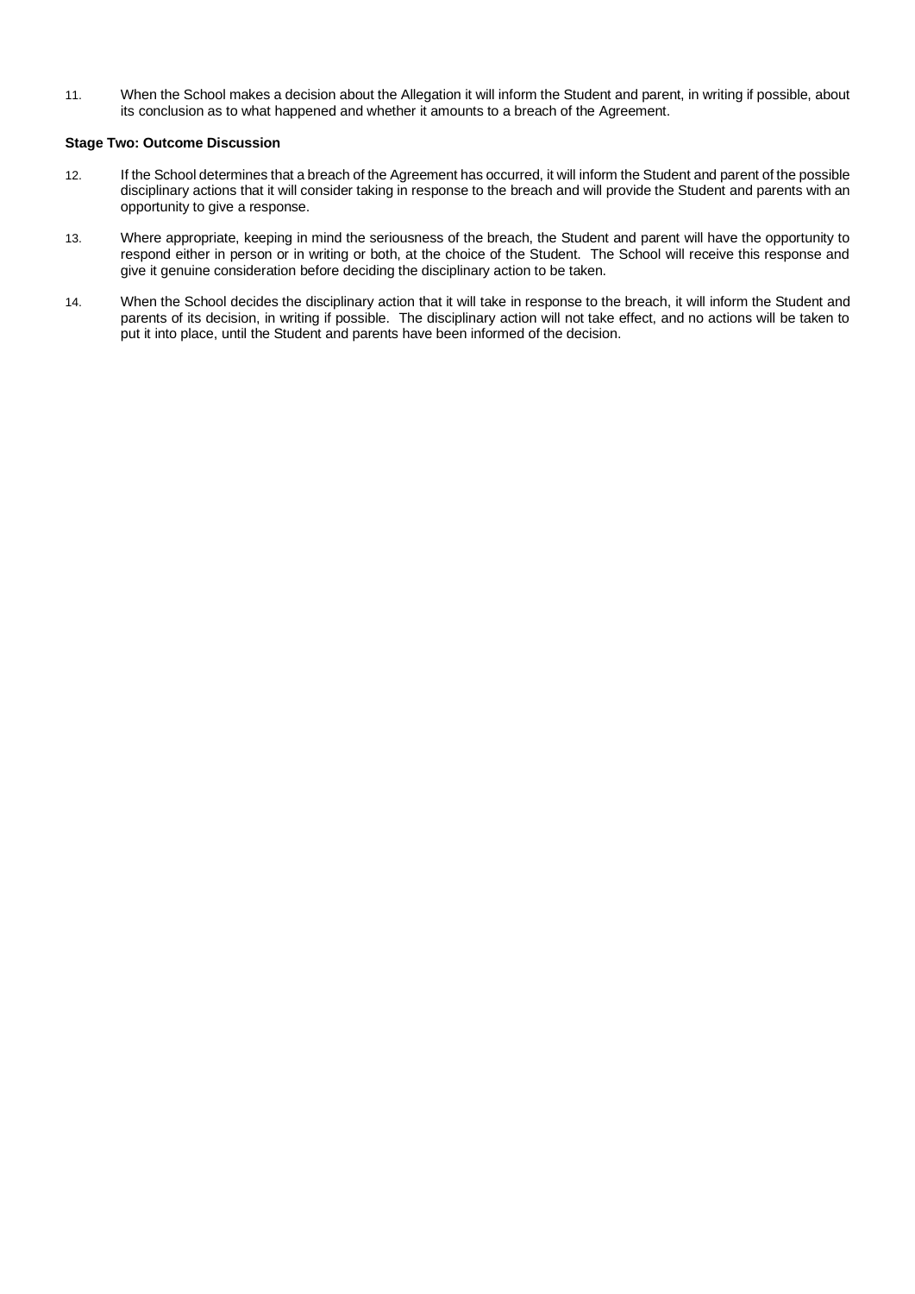11. When the School makes a decision about the Allegation it will inform the Student and parent, in writing if possible, about its conclusion as to what happened and whether it amounts to a breach of the Agreement.

# **Stage Two: Outcome Discussion**

- 12. If the School determines that a breach of the Agreement has occurred, it will inform the Student and parent of the possible disciplinary actions that it will consider taking in response to the breach and will provide the Student and parents with an opportunity to give a response.
- 13. Where appropriate, keeping in mind the seriousness of the breach, the Student and parent will have the opportunity to respond either in person or in writing or both, at the choice of the Student. The School will receive this response and give it genuine consideration before deciding the disciplinary action to be taken.
- 14. When the School decides the disciplinary action that it will take in response to the breach, it will inform the Student and parents of its decision, in writing if possible. The disciplinary action will not take effect, and no actions will be taken to put it into place, until the Student and parents have been informed of the decision.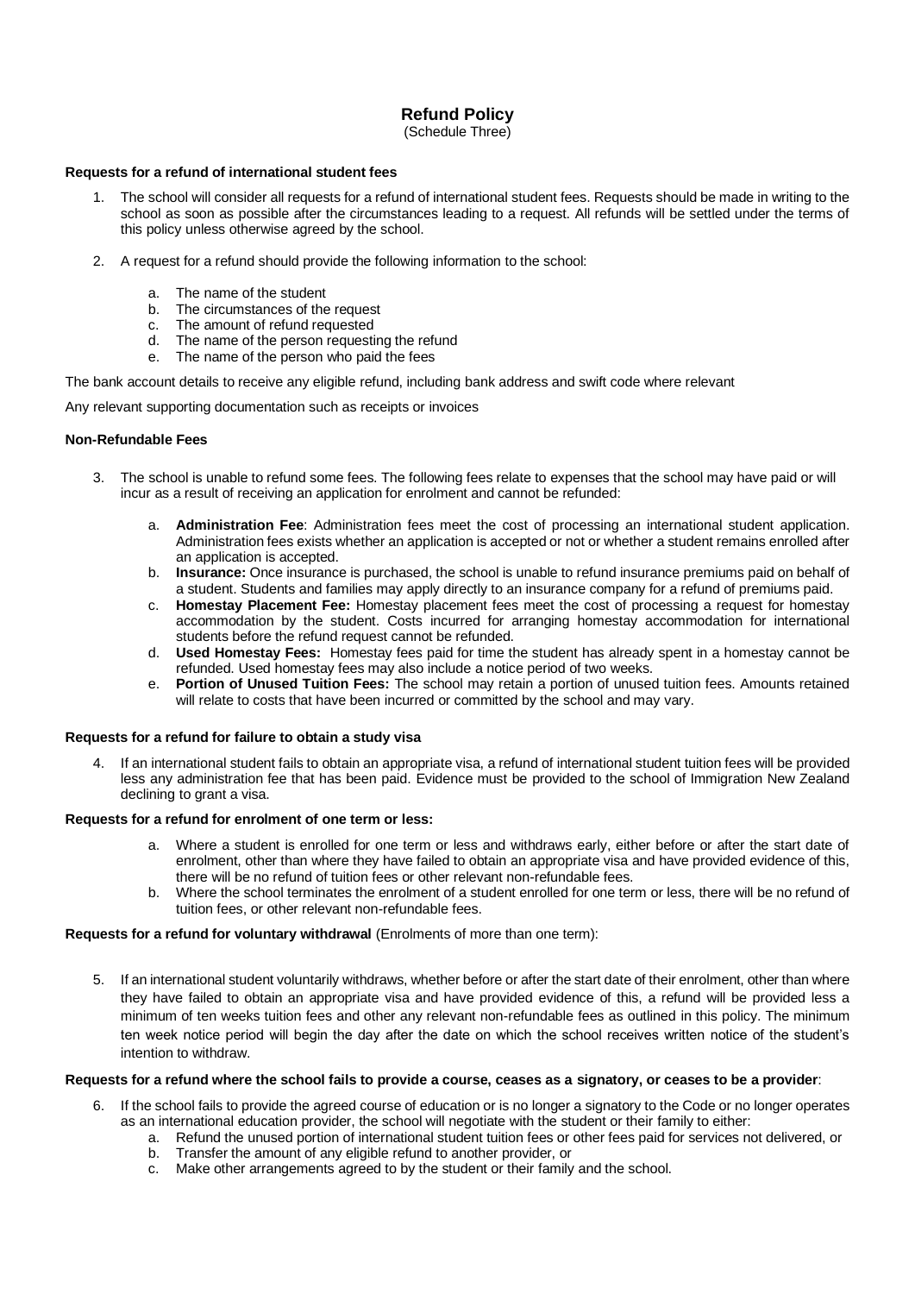# **Refund Policy**

(Schedule Three)

### **Requests for a refund of international student fees**

- The school will consider all requests for a refund of international student fees. Requests should be made in writing to the school as soon as possible after the circumstances leading to a request. All refunds will be settled under the terms of this policy unless otherwise agreed by the school.
- 2. A request for a refund should provide the following information to the school:
	- a. The name of the student
	- b. The circumstances of the request
	- c. The amount of refund requested
	- d. The name of the person requesting the refund
	- e. The name of the person who paid the fees

The bank account details to receive any eligible refund, including bank address and swift code where relevant

Any relevant supporting documentation such as receipts or invoices

#### **Non-Refundable Fees**

- 3. The school is unable to refund some fees. The following fees relate to expenses that the school may have paid or will incur as a result of receiving an application for enrolment and cannot be refunded:
	- a. **Administration Fee**: Administration fees meet the cost of processing an international student application. Administration fees exists whether an application is accepted or not or whether a student remains enrolled after an application is accepted.
	- b. **Insurance:** Once insurance is purchased, the school is unable to refund insurance premiums paid on behalf of a student. Students and families may apply directly to an insurance company for a refund of premiums paid.
	- c. **Homestay Placement Fee:** Homestay placement fees meet the cost of processing a request for homestay accommodation by the student. Costs incurred for arranging homestay accommodation for international students before the refund request cannot be refunded.
	- d. **Used Homestay Fees:** Homestay fees paid for time the student has already spent in a homestay cannot be refunded. Used homestay fees may also include a notice period of two weeks.
	- e. **Portion of Unused Tuition Fees:** The school may retain a portion of unused tuition fees. Amounts retained will relate to costs that have been incurred or committed by the school and may vary.

### **Requests for a refund for failure to obtain a study visa**

4. If an international student fails to obtain an appropriate visa, a refund of international student tuition fees will be provided less any administration fee that has been paid. Evidence must be provided to the school of Immigration New Zealand declining to grant a visa.

#### **Requests for a refund for enrolment of one term or less:**

- a. Where a student is enrolled for one term or less and withdraws early, either before or after the start date of enrolment, other than where they have failed to obtain an appropriate visa and have provided evidence of this, there will be no refund of tuition fees or other relevant non-refundable fees.
- b. Where the school terminates the enrolment of a student enrolled for one term or less, there will be no refund of tuition fees, or other relevant non-refundable fees.

### **Requests for a refund for voluntary withdrawal** (Enrolments of more than one term):

5. If an international student voluntarily withdraws, whether before or after the start date of their enrolment, other than where they have failed to obtain an appropriate visa and have provided evidence of this, a refund will be provided less a minimum of ten weeks tuition fees and other any relevant non-refundable fees as outlined in this policy. The minimum ten week notice period will begin the day after the date on which the school receives written notice of the student's intention to withdraw.

#### **Requests for a refund where the school fails to provide a course, ceases as a signatory, or ceases to be a provider**:

- 6. If the school fails to provide the agreed course of education or is no longer a signatory to the Code or no longer operates as an international education provider, the school will negotiate with the student or their family to either:
	- a. Refund the unused portion of international student tuition fees or other fees paid for services not delivered, or
	- b. Transfer the amount of any eligible refund to another provider, or
	- c. Make other arrangements agreed to by the student or their family and the school.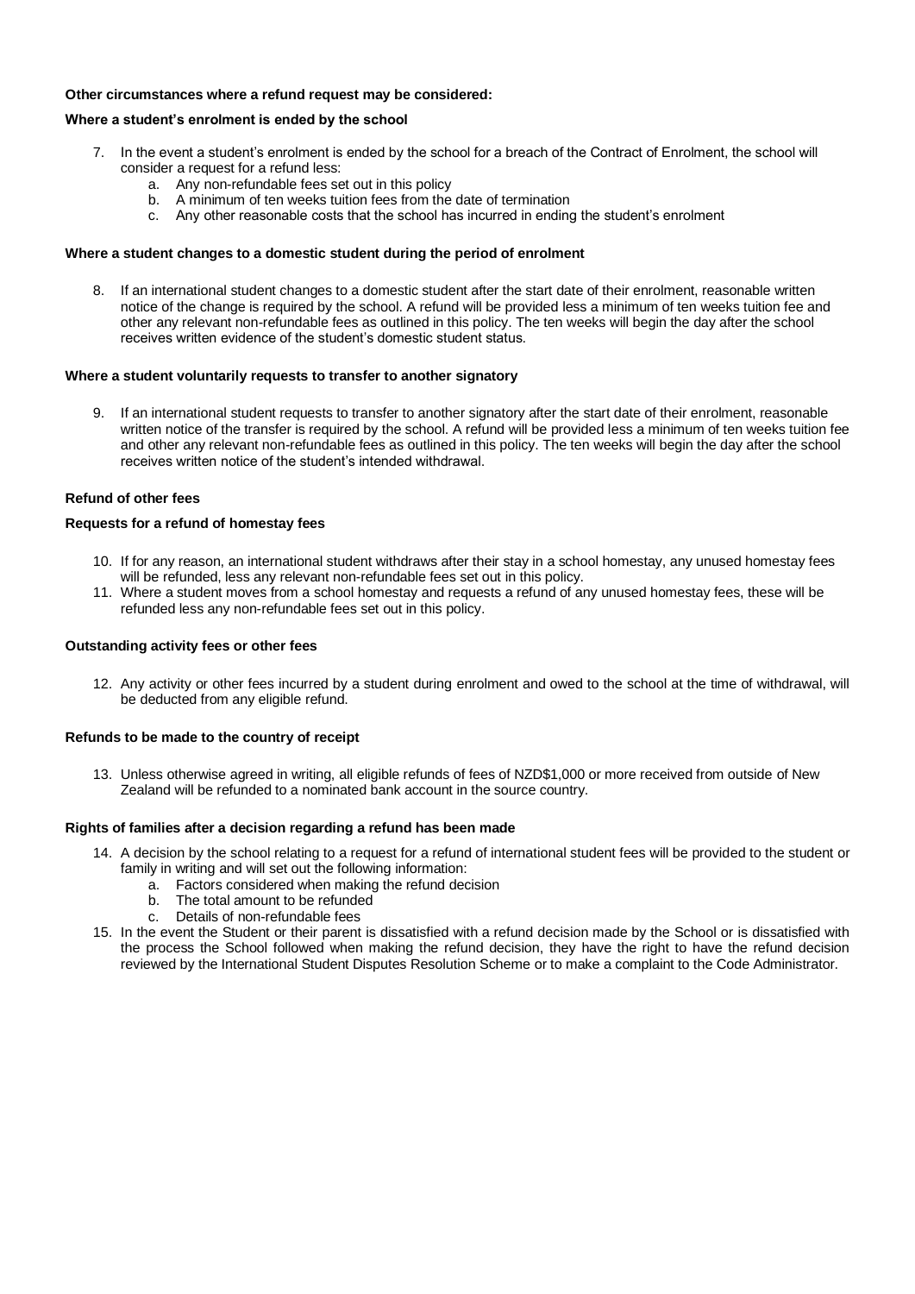### **Other circumstances where a refund request may be considered:**

#### **Where a student's enrolment is ended by the school**

- 7. In the event a student's enrolment is ended by the school for a breach of the Contract of Enrolment, the school will consider a request for a refund less:
	- a. Any non-refundable fees set out in this policy
	- b. A minimum of ten weeks tuition fees from the date of termination
	- c. Any other reasonable costs that the school has incurred in ending the student's enrolment

#### **Where a student changes to a domestic student during the period of enrolment**

8. If an international student changes to a domestic student after the start date of their enrolment, reasonable written notice of the change is required by the school. A refund will be provided less a minimum of ten weeks tuition fee and other any relevant non-refundable fees as outlined in this policy. The ten weeks will begin the day after the school receives written evidence of the student's domestic student status.

#### **Where a student voluntarily requests to transfer to another signatory**

If an international student requests to transfer to another signatory after the start date of their enrolment, reasonable written notice of the transfer is required by the school. A refund will be provided less a minimum of ten weeks tuition fee and other any relevant non-refundable fees as outlined in this policy. The ten weeks will begin the day after the school receives written notice of the student's intended withdrawal.

# **Refund of other fees**

#### **Requests for a refund of homestay fees**

- 10. If for any reason, an international student withdraws after their stay in a school homestay, any unused homestay fees will be refunded, less any relevant non-refundable fees set out in this policy.
- 11. Where a student moves from a school homestay and requests a refund of any unused homestay fees, these will be refunded less any non-refundable fees set out in this policy.

#### **Outstanding activity fees or other fees**

12. Any activity or other fees incurred by a student during enrolment and owed to the school at the time of withdrawal, will be deducted from any eligible refund.

#### **Refunds to be made to the country of receipt**

13. Unless otherwise agreed in writing, all eligible refunds of fees of NZD\$1,000 or more received from outside of New Zealand will be refunded to a nominated bank account in the source country.

#### **Rights of families after a decision regarding a refund has been made**

- 14. A decision by the school relating to a request for a refund of international student fees will be provided to the student or family in writing and will set out the following information:
	- a. Factors considered when making the refund decision
	- b. The total amount to be refunded
	- c. Details of non-refundable fees
- 15. In the event the Student or their parent is dissatisfied with a refund decision made by the School or is dissatisfied with the process the School followed when making the refund decision, they have the right to have the refund decision reviewed by the International Student Disputes Resolution Scheme or to make a complaint to the Code Administrator.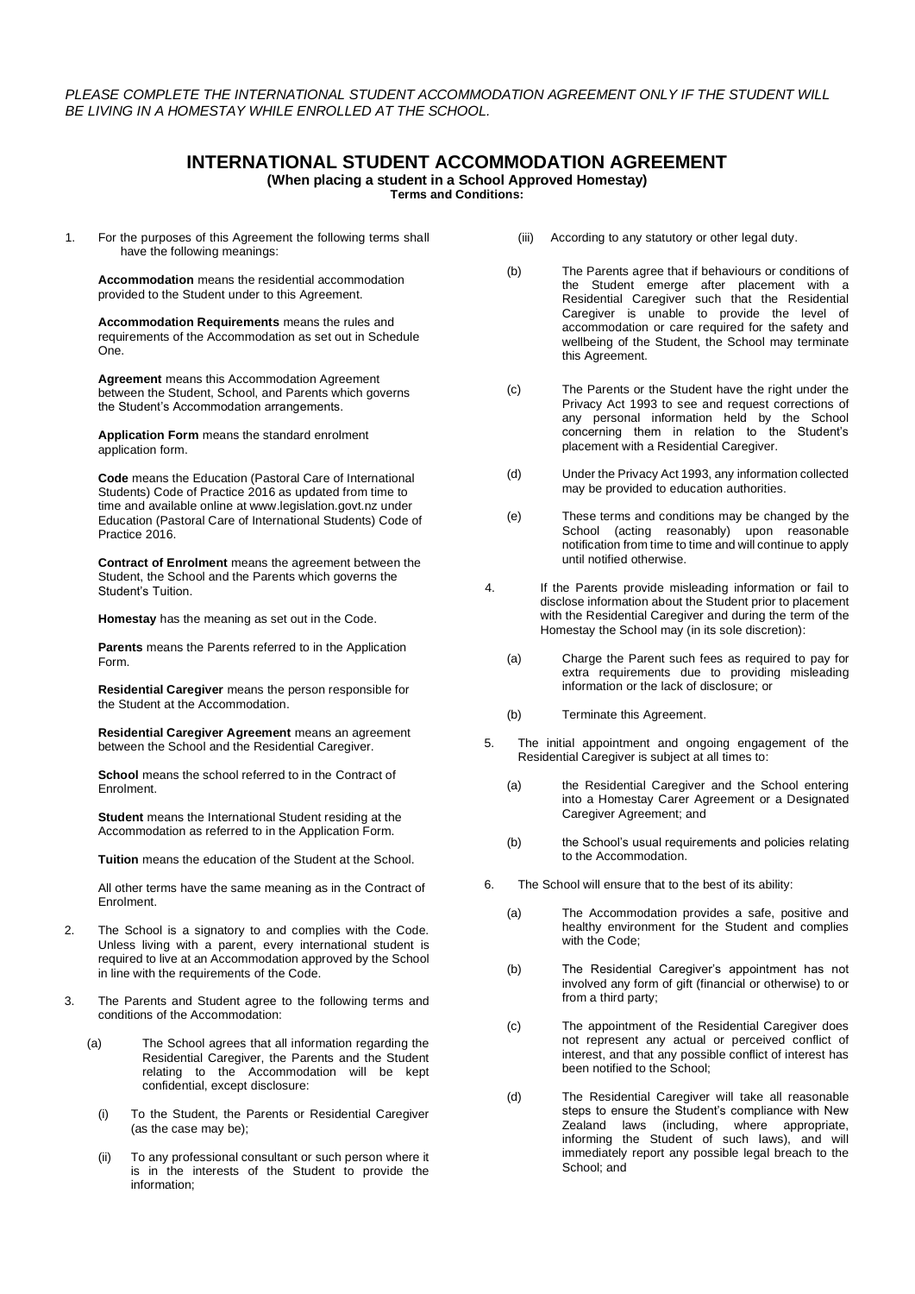# **INTERNATIONAL STUDENT ACCOMMODATION AGREEMENT**

**(When placing a student in a School Approved Homestay)**

**Terms and Conditions:**

1. For the purposes of this Agreement the following terms shall have the following meanings:

**Accommodation** means the residential accommodation provided to the Student under to this Agreement.

**Accommodation Requirements** means the rules and requirements of the Accommodation as set out in Schedule One.

**Agreement** means this Accommodation Agreement between the Student, School, and Parents which governs the Student's Accommodation arrangements.

**Application Form** means the standard enrolment application form.

**Code** means the Education (Pastoral Care of International Students) Code of Practice 2016 as updated from time to time and available online at www.legislation.govt.nz under Education (Pastoral Care of International Students) Code of Practice 2016.

**Contract of Enrolment** means the agreement between the Student, the School and the Parents which governs the Student's Tuition.

**Homestay** has the meaning as set out in the Code.

**Parents** means the Parents referred to in the Application Form.

**Residential Caregiver** means the person responsible for the Student at the Accommodation.

**Residential Caregiver Agreement** means an agreement between the School and the Residential Caregiver.

**School** means the school referred to in the Contract of Enrolment.

**Student** means the International Student residing at the Accommodation as referred to in the Application Form.

**Tuition** means the education of the Student at the School.

All other terms have the same meaning as in the Contract of Enrolment.

- 2. The School is a signatory to and complies with the Code. Unless living with a parent, every international student is required to live at an Accommodation approved by the School in line with the requirements of the Code.
- 3. The Parents and Student agree to the following terms and conditions of the Accommodation:
	- (a) The School agrees that all information regarding the Residential Caregiver, the Parents and the Student relating to the Accommodation will be kept confidential, except disclosure:
		- (i) To the Student, the Parents or Residential Caregiver (as the case may be);
		- (ii) To any professional consultant or such person where it is in the interests of the Student to provide the information;
- (iii) According to any statutory or other legal duty.
- (b) The Parents agree that if behaviours or conditions of the Student emerge after placement with a Residential Caregiver such that the Residential Caregiver is unable to provide the level of accommodation or care required for the safety and wellbeing of the Student, the School may terminate this Agreement.
- (c) The Parents or the Student have the right under the Privacy Act 1993 to see and request corrections of any personal information held by the School concerning them in relation to the Student's placement with a Residential Caregiver.
- (d) Under the Privacy Act 1993, any information collected may be provided to education authorities.
- (e) These terms and conditions may be changed by the School (acting reasonably) upon reasonable notification from time to time and will continue to apply until notified otherwise.
- 4. If the Parents provide misleading information or fail to disclose information about the Student prior to placement with the Residential Caregiver and during the term of the Homestay the School may (in its sole discretion):
	- (a) Charge the Parent such fees as required to pay for extra requirements due to providing misleading information or the lack of disclosure; or
	- (b) Terminate this Agreement.
- 5. The initial appointment and ongoing engagement of the Residential Caregiver is subject at all times to:
	- (a) the Residential Caregiver and the School entering into a Homestay Carer Agreement or a Designated Caregiver Agreement; and
	- (b) the School's usual requirements and policies relating to the Accommodation.
- 6. The School will ensure that to the best of its ability:
	- (a) The Accommodation provides a safe, positive and healthy environment for the Student and complies with the Code:
	- (b) The Residential Caregiver's appointment has not involved any form of gift (financial or otherwise) to or from a third party;
	- (c) The appointment of the Residential Caregiver does not represent any actual or perceived conflict of interest, and that any possible conflict of interest has been notified to the School;
	- (d) The Residential Caregiver will take all reasonable steps to ensure the Student's compliance with New Zealand laws (including, where appropriate, informing the Student of such laws), and will immediately report any possible legal breach to the School; and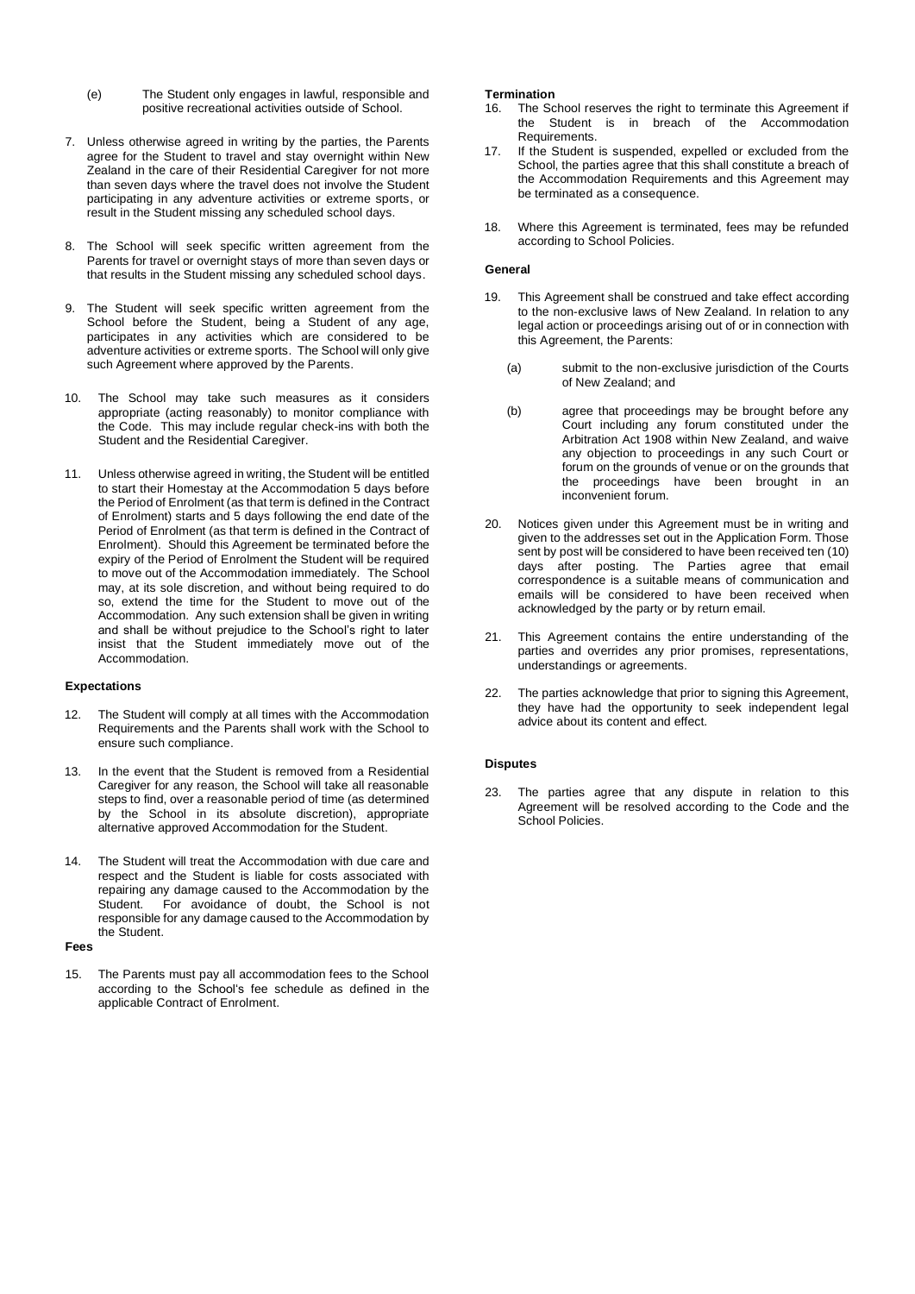- (e) The Student only engages in lawful, responsible and positive recreational activities outside of School.
- 7. Unless otherwise agreed in writing by the parties, the Parents agree for the Student to travel and stay overnight within New Zealand in the care of their Residential Caregiver for not more than seven days where the travel does not involve the Student participating in any adventure activities or extreme sports, or result in the Student missing any scheduled school days.
- 8. The School will seek specific written agreement from the Parents for travel or overnight stays of more than seven days or that results in the Student missing any scheduled school days.
- 9. The Student will seek specific written agreement from the School before the Student, being a Student of any age, participates in any activities which are considered to be adventure activities or extreme sports. The School will only give such Agreement where approved by the Parents.
- 10. The School may take such measures as it considers appropriate (acting reasonably) to monitor compliance with the Code. This may include regular check-ins with both the Student and the Residential Caregiver.
- 11. Unless otherwise agreed in writing, the Student will be entitled to start their Homestay at the Accommodation 5 days before the Period of Enrolment (as that term is defined in the Contract of Enrolment) starts and 5 days following the end date of the Period of Enrolment (as that term is defined in the Contract of Enrolment). Should this Agreement be terminated before the expiry of the Period of Enrolment the Student will be required to move out of the Accommodation immediately. The School may, at its sole discretion, and without being required to do so, extend the time for the Student to move out of the Accommodation. Any such extension shall be given in writing and shall be without prejudice to the School's right to later insist that the Student immediately move out of the Accommodation.

#### **Expectations**

- 12. The Student will comply at all times with the Accommodation Requirements and the Parents shall work with the School to ensure such compliance.
- 13. In the event that the Student is removed from a Residential Caregiver for any reason, the School will take all reasonable steps to find, over a reasonable period of time (as determined by the School in its absolute discretion), appropriate alternative approved Accommodation for the Student.
- 14. The Student will treat the Accommodation with due care and respect and the Student is liable for costs associated with repairing any damage caused to the Accommodation by the Student. For avoidance of doubt, the School is not responsible for any damage caused to the Accommodation by the Student.

**Fees**

15. The Parents must pay all accommodation fees to the School according to the School's fee schedule as defined in the applicable Contract of Enrolment.

#### **Termination**

- 16. The School reserves the right to terminate this Agreement if the Student is in breach of the Accommodation Requirements.
- 17. If the Student is suspended, expelled or excluded from the School, the parties agree that this shall constitute a breach of the Accommodation Requirements and this Agreement may be terminated as a consequence.
- 18. Where this Agreement is terminated, fees may be refunded according to School Policies.

#### **General**

- 19. This Agreement shall be construed and take effect according to the non-exclusive laws of New Zealand. In relation to any legal action or proceedings arising out of or in connection with this Agreement, the Parents:
	- (a) submit to the non-exclusive jurisdiction of the Courts of New Zealand; and
	- (b) agree that proceedings may be brought before any Court including any forum constituted under the Arbitration Act 1908 within New Zealand, and waive any objection to proceedings in any such Court or forum on the grounds of venue or on the grounds that the proceedings have been brought in an inconvenient forum.
- 20. Notices given under this Agreement must be in writing and given to the addresses set out in the Application Form. Those sent by post will be considered to have been received ten (10) days after posting. The Parties agree that email correspondence is a suitable means of communication and emails will be considered to have been received when acknowledged by the party or by return email.
- 21. This Agreement contains the entire understanding of the parties and overrides any prior promises, representations, understandings or agreements.
- 22. The parties acknowledge that prior to signing this Agreement, they have had the opportunity to seek independent legal advice about its content and effect.

#### **Disputes**

23. The parties agree that any dispute in relation to this Agreement will be resolved according to the Code and the School Policies.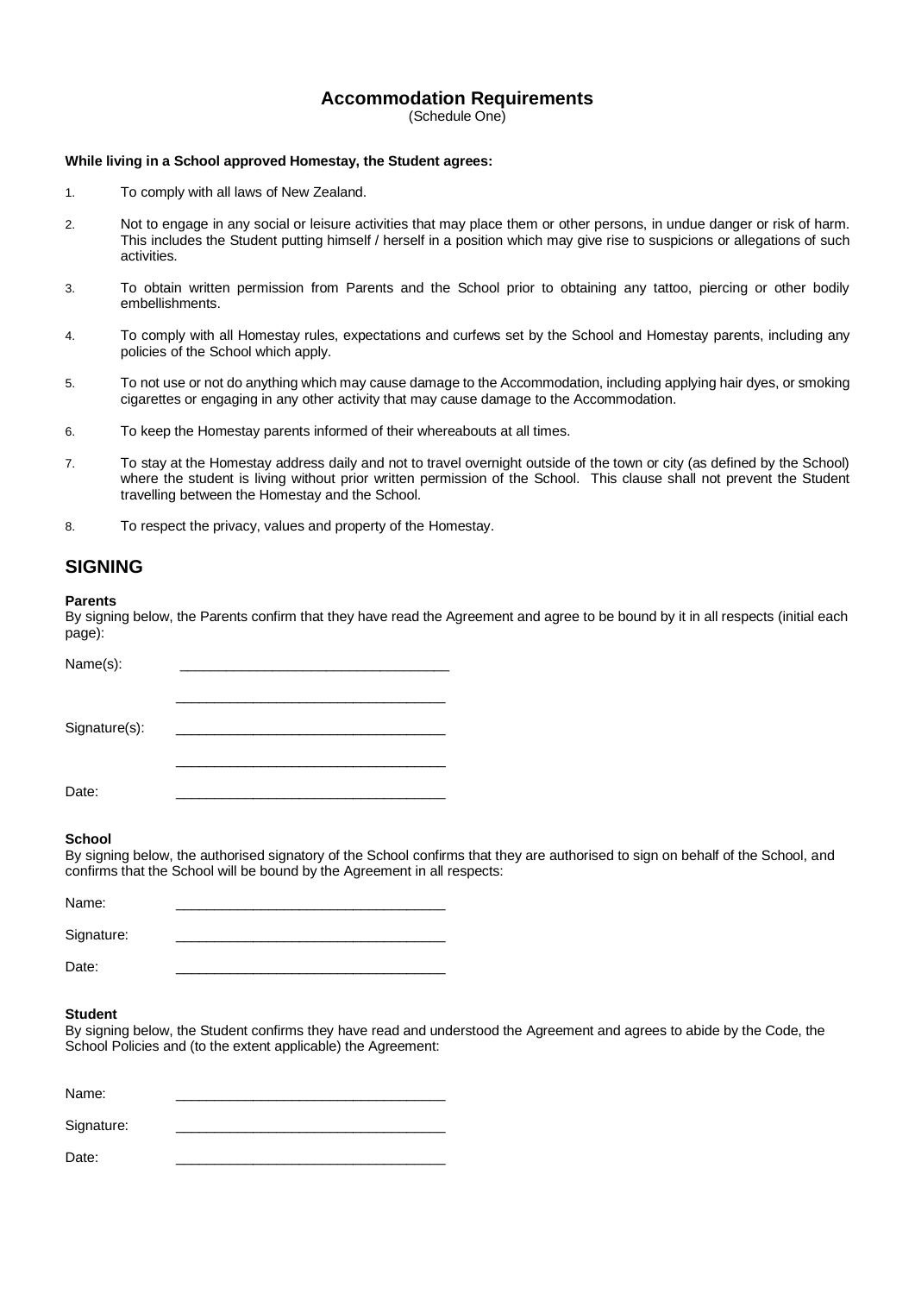# **Accommodation Requirements**

(Schedule One)

### **While living in a School approved Homestay, the Student agrees:**

- 1. To comply with all laws of New Zealand.
- 2. Not to engage in any social or leisure activities that may place them or other persons, in undue danger or risk of harm. This includes the Student putting himself / herself in a position which may give rise to suspicions or allegations of such activities.
- 3. To obtain written permission from Parents and the School prior to obtaining any tattoo, piercing or other bodily embellishments.
- 4. To comply with all Homestay rules, expectations and curfews set by the School and Homestay parents, including any policies of the School which apply.
- 5. To not use or not do anything which may cause damage to the Accommodation, including applying hair dyes, or smoking cigarettes or engaging in any other activity that may cause damage to the Accommodation.
- 6. To keep the Homestay parents informed of their whereabouts at all times.
- 7. To stay at the Homestay address daily and not to travel overnight outside of the town or city (as defined by the School) where the student is living without prior written permission of the School. This clause shall not prevent the Student travelling between the Homestay and the School.
- 8. To respect the privacy, values and property of the Homestay.

# **SIGNING**

### **Parents**

By signing below, the Parents confirm that they have read the Agreement and agree to be bound by it in all respects (initial each page):

| Name(s):      |  |
|---------------|--|
|               |  |
|               |  |
|               |  |
| Signature(s): |  |
|               |  |
|               |  |
|               |  |
| Date:         |  |

#### **School**

By signing below, the authorised signatory of the School confirms that they are authorised to sign on behalf of the School, and confirms that the School will be bound by the Agreement in all respects:

| Name:      |  |
|------------|--|
| Signature: |  |
| Date:      |  |

#### **Student**

By signing below, the Student confirms they have read and understood the Agreement and agrees to abide by the Code, the School Policies and (to the extent applicable) the Agreement:

| Name:      |  |
|------------|--|
| Signature: |  |
| Date:      |  |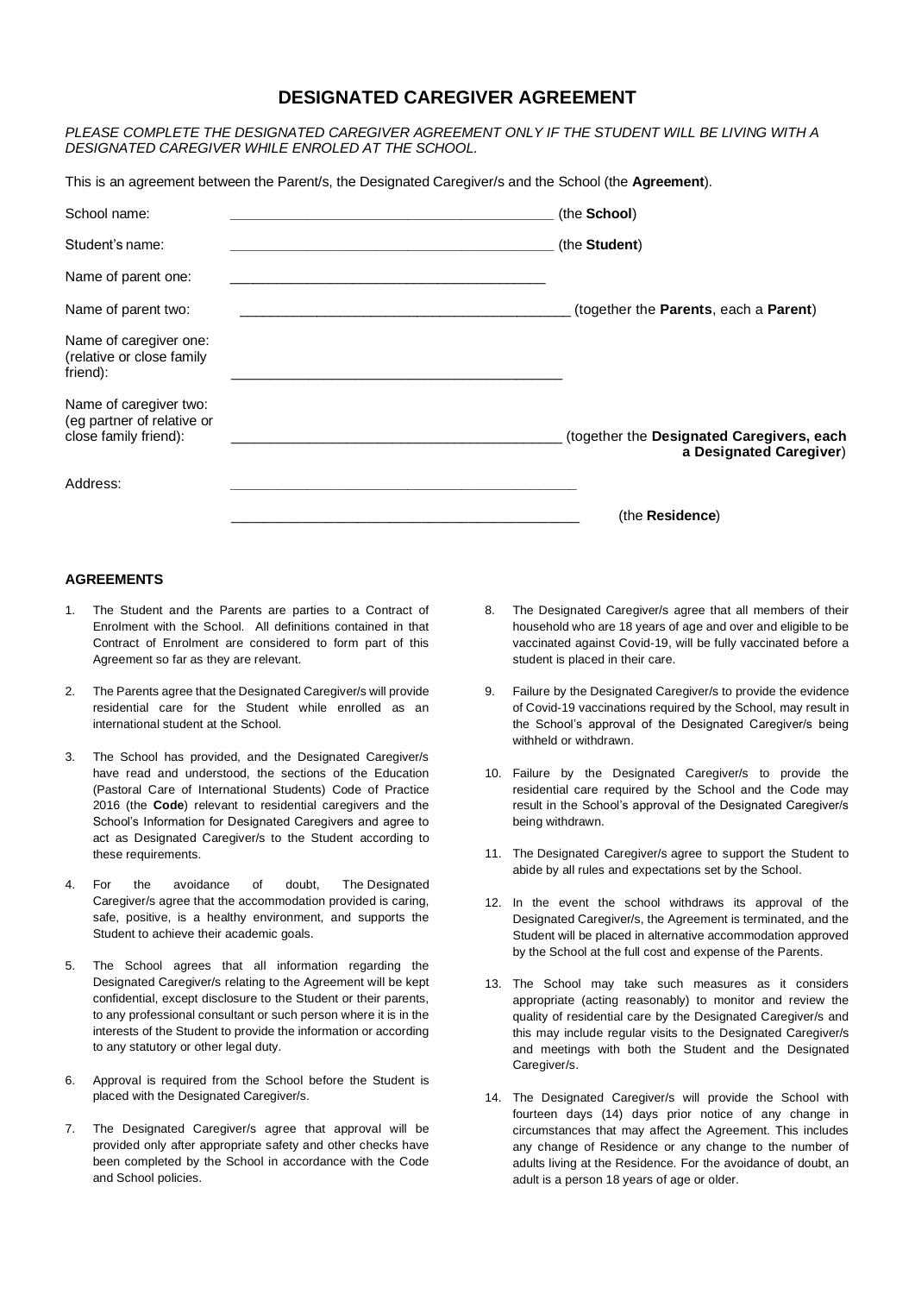# **DESIGNATED CAREGIVER AGREEMENT**

*PLEASE COMPLETE THE DESIGNATED CAREGIVER AGREEMENT ONLY IF THE STUDENT WILL BE LIVING WITH A DESIGNATED CAREGIVER WHILE ENROLED AT THE SCHOOL.*

This is an agreement between the Parent/s, the Designated Caregiver/s and the School (the **Agreement**).

| School name:                                                                  | (the School)                                                         |
|-------------------------------------------------------------------------------|----------------------------------------------------------------------|
| Student's name:                                                               | (the Student)                                                        |
| Name of parent one:                                                           |                                                                      |
| Name of parent two:                                                           | (together the Parents, each a Parent)                                |
| Name of caregiver one:<br>(relative or close family<br>friend):               |                                                                      |
| Name of caregiver two:<br>(eg partner of relative or<br>close family friend): | (together the Designated Caregivers, each<br>a Designated Caregiver) |
| Address:                                                                      |                                                                      |
|                                                                               | (the Residence)                                                      |

# **AGREEMENTS**

- 1. The Student and the Parents are parties to a Contract of Enrolment with the School. All definitions contained in that Contract of Enrolment are considered to form part of this Agreement so far as they are relevant.
- 2. The Parents agree that the Designated Caregiver/s will provide residential care for the Student while enrolled as an international student at the School.
- 3. The School has provided, and the Designated Caregiver/s have read and understood, the sections of the Education (Pastoral Care of International Students) Code of Practice 2016 (the **Code**) relevant to residential caregivers and the School's Information for Designated Caregivers and agree to act as Designated Caregiver/s to the Student according to these requirements.
- 4. For the avoidance of doubt, The Designated Caregiver/s agree that the accommodation provided is caring, safe, positive, is a healthy environment, and supports the Student to achieve their academic goals.
- 5. The School agrees that all information regarding the Designated Caregiver/s relating to the Agreement will be kept confidential, except disclosure to the Student or their parents, to any professional consultant or such person where it is in the interests of the Student to provide the information or according to any statutory or other legal duty.
- 6. Approval is required from the School before the Student is placed with the Designated Caregiver/s.
- 7. The Designated Caregiver/s agree that approval will be provided only after appropriate safety and other checks have been completed by the School in accordance with the Code and School policies.
- 8. The Designated Caregiver/s agree that all members of their household who are 18 years of age and over and eligible to be vaccinated against Covid-19, will be fully vaccinated before a student is placed in their care.
- 9. Failure by the Designated Caregiver/s to provide the evidence of Covid-19 vaccinations required by the School, may result in the School's approval of the Designated Caregiver/s being withheld or withdrawn.
- 10. Failure by the Designated Caregiver/s to provide the residential care required by the School and the Code may result in the School's approval of the Designated Caregiver/s being withdrawn.
- 11. The Designated Caregiver/s agree to support the Student to abide by all rules and expectations set by the School.
- 12. In the event the school withdraws its approval of the Designated Caregiver/s, the Agreement is terminated, and the Student will be placed in alternative accommodation approved by the School at the full cost and expense of the Parents.
- 13. The School may take such measures as it considers appropriate (acting reasonably) to monitor and review the quality of residential care by the Designated Caregiver/s and this may include regular visits to the Designated Caregiver/s and meetings with both the Student and the Designated Caregiver/s.
- 14. The Designated Caregiver/s will provide the School with fourteen days (14) days prior notice of any change in circumstances that may affect the Agreement. This includes any change of Residence or any change to the number of adults living at the Residence. For the avoidance of doubt, an adult is a person 18 years of age or older.